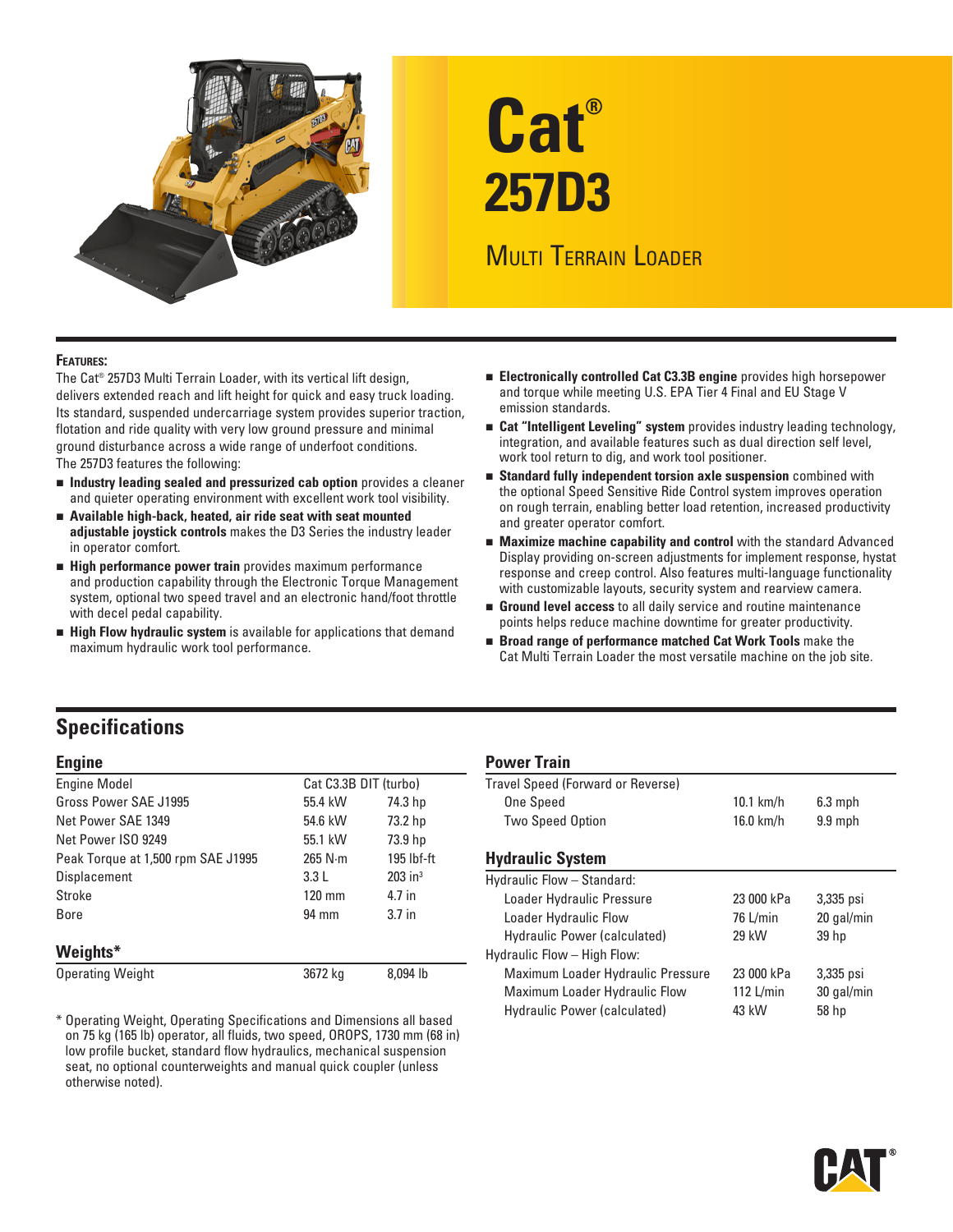

# **Cat® 257D3**

# **MULTI TERRAIN LOADER**

# **Features:**

The Cat® 257D3 Multi Terrain Loader, with its vertical lift design, delivers extended reach and lift height for quick and easy truck loading. Its standard, suspended undercarriage system provides superior traction, flotation and ride quality with very low ground pressure and minimal ground disturbance across a wide range of underfoot conditions. The 257D3 features the following:

- **ndustry leading sealed and pressurized cab option** provides a cleaner and quieter operating environment with excellent work tool visibility.
- **n** Available high-back, heated, air ride seat with seat mounted **adjustable joystick controls** makes the D3 Series the industry leader in operator comfort.
- **High performance power train** provides maximum performance and production capability through the Electronic Torque Management system, optional two speed travel and an electronic hand/foot throttle with decel pedal capability.
- **High Flow hydraulic system** is available for applications that demand maximum hydraulic work tool performance.
- **Electronically controlled Cat C3.3B engine** provides high horsepower and torque while meeting U.S. EPA Tier 4 Final and EU Stage V emission standards.
- **n** Cat "Intelligent Leveling" system provides industry leading technology, integration, and available features such as dual direction self level, work tool return to dig, and work tool positioner.
- **Standard fully independent torsion axle suspension** combined with the optional Speed Sensitive Ride Control system improves operation on rough terrain, enabling better load retention, increased productivity and greater operator comfort.
- **Maximize machine capability and control** with the standard Advanced Display providing on-screen adjustments for implement response, hystat response and creep control. Also features multi-language functionality with customizable layouts, security system and rearview camera.
- **Ground level access** to all daily service and routine maintenance points helps reduce machine downtime for greater productivity.
- **Broad range of performance matched Cat Work Tools** make the Cat Multi Terrain Loader the most versatile machine on the job site.

# **Specifications**

| <b>Engine Model</b>                | Cat C3.3B DIT (turbo) |                       |
|------------------------------------|-----------------------|-----------------------|
| Gross Power SAE J1995              | 55.4 kW               | 74.3 hp               |
| Net Power SAE 1349                 | 54.6 kW               | 73.2 hp               |
| Net Power ISO 9249                 | 55.1 kW               | 73.9 hp               |
| Peak Torque at 1,500 rpm SAE J1995 | 265 N·m               | $195$ lbf-ft          |
| <b>Displacement</b>                | 3.3L                  | $203$ in <sup>3</sup> |
| Stroke                             | $120$ mm              | 4.7 in                |
| Bore                               | 94 mm                 | 3.7 <sub>in</sub>     |
| Weights*                           |                       |                       |
| <b>Operating Weight</b>            | 3672 ka               | 8.094 lb              |

\* Operating Weight, Operating Specifications and Dimensions all based on 75 kg (165 lb) operator, all fluids, two speed, OROPS, 1730 mm (68 in) low profile bucket, standard flow hydraulics, mechanical suspension seat, no optional counterweights and manual quick coupler (unless otherwise noted).

# **Engine Power Train**

| .                                 |             |           |  |
|-----------------------------------|-------------|-----------|--|
| Travel Speed (Forward or Reverse) |             |           |  |
| One Speed                         | $10.1$ km/h | $6.3$ mph |  |
| <b>Two Speed Option</b>           | $16.0$ km/h | $9.9$ mph |  |
|                                   |             |           |  |

# **Hydraulic System**

| Displacement                                                          | 3.3L    | $203$ in <sup>3</sup> | Hydraulic Flow - Standard:        |             |                  |
|-----------------------------------------------------------------------|---------|-----------------------|-----------------------------------|-------------|------------------|
| Stroke                                                                | 120 mm  | 4.7 in                | Loader Hydraulic Pressure         | 23 000 kPa  | 3,335 psi        |
| <b>Bore</b>                                                           | 94 mm   | 3.7 <sub>in</sub>     | Loader Hydraulic Flow             | $76$ L/min  | 20 gal/min       |
|                                                                       |         |                       | Hydraulic Power (calculated)      | 29 kW       | 39 <sub>hp</sub> |
| Weights*                                                              |         |                       | Hydraulic Flow - High Flow:       |             |                  |
| Operating Weight                                                      | 3672 kg | 8.094 lb              | Maximum Loader Hydraulic Pressure | 23 000 kPa  | 3,335 psi        |
|                                                                       |         |                       | Maximum Loader Hydraulic Flow     | $112$ L/min | 30 gal/min       |
| * Operating Weight, Operating Specifications and Dimensions all based |         |                       | Hydraulic Power (calculated)      | 43 kW       | 58 hp            |

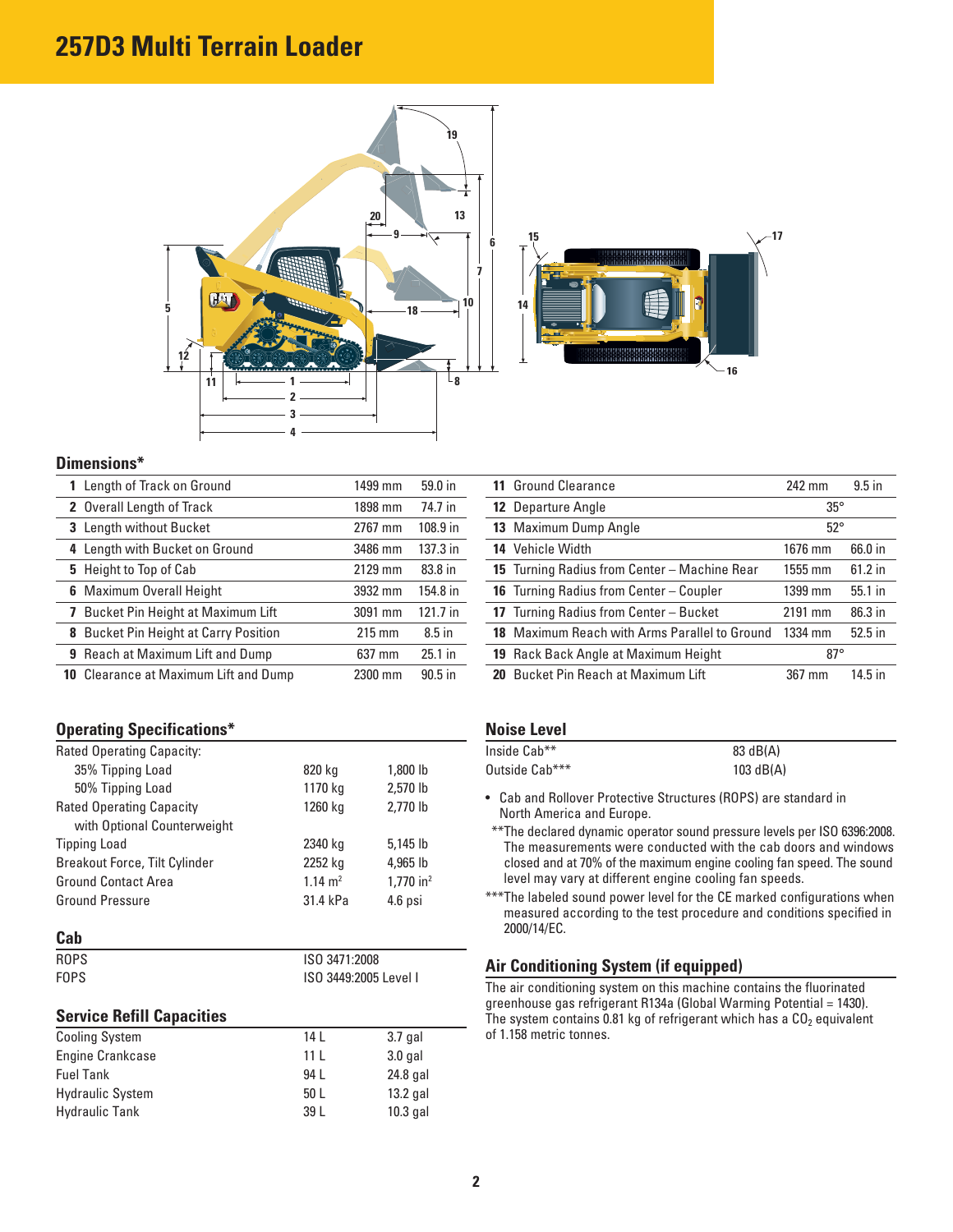# **257D3 Multi Terrain Loader**



## **Dimensions\***

| Length of Track on Ground                    | 1499 mm          | 59.0 in    | <b>11 Ground Clearance</b>                    | 242 mm       | $9.5$ in  |
|----------------------------------------------|------------------|------------|-----------------------------------------------|--------------|-----------|
| 2 Overall Length of Track                    | 1898 mm          | 74.7 in    | <b>12 Departure Angle</b>                     | $35^\circ$   |           |
| 3 Length without Bucket                      | 2767 mm          | $108.9$ in | 13 Maximum Dump Angle                         | $52^{\circ}$ |           |
| 4 Length with Bucket on Ground               | 3486 mm          | 137.3 in   | 14 Vehicle Width                              | 1676 mm      | 66.0 in   |
| 5 Height to Top of Cab                       | 2129 mm          | 83.8 in    | 15 Turning Radius from Center - Machine Rear  | 1555 mm      | $61.2$ in |
| <b>6</b> Maximum Overall Height              | 3932 mm          | 154.8 in   | 16 Turning Radius from Center - Coupler       | 1399 mm      | 55.1 in   |
| Bucket Pin Height at Maximum Lift            | 3091 mm          | $121.7$ in | 17 Turning Radius from Center - Bucket        | 2191 mm      | 86.3 in   |
| 8 Bucket Pin Height at Carry Position        | $215 \text{ mm}$ | $8.5$ in   | 18 Maximum Reach with Arms Parallel to Ground | 1334 mm      | $52.5$ in |
| <b>9</b> Reach at Maximum Lift and Dump      | 637 mm           | $25.1$ in  | 19 Rack Back Angle at Maximum Height          | $87^\circ$   |           |
| <b>10</b> Clearance at Maximum Lift and Dump | 2300 mm          | $90.5$ in  | 20 Bucket Pin Reach at Maximum Lift           | 367 mm       | $14.5$ in |

# **Operating Specifications\*** Noise Level

| <b>Rated Operating Capacity:</b>     |                       |                         | Inside Cab**                                                                                 | 83 dB(A)                                                                                                                                        |  |
|--------------------------------------|-----------------------|-------------------------|----------------------------------------------------------------------------------------------|-------------------------------------------------------------------------------------------------------------------------------------------------|--|
| 35% Tipping Load                     | 820 kg                | 1,800 lb                | Outside Cab***                                                                               | 103 $dB(A)$                                                                                                                                     |  |
| 50% Tipping Load                     | 1170 kg               | 2,570 lb                |                                                                                              |                                                                                                                                                 |  |
| <b>Rated Operating Capacity</b>      | 1260 kg               | 2.770 lb                | • Cab and Rollover Protective Structures (ROPS) are standard in<br>North America and Europe. |                                                                                                                                                 |  |
| with Optional Counterweight          |                       |                         |                                                                                              | ** The declared dynamic operator sound pressure levels per ISO 6396:2008.                                                                       |  |
| <b>Tipping Load</b>                  | 2340 kg               | $5,145$ lb              |                                                                                              | The measurements were conducted with the cab doors and windows                                                                                  |  |
| <b>Breakout Force, Tilt Cylinder</b> | 2252 kg               | 4,965 lb                |                                                                                              | closed and at 70% of the maximum engine cooling fan speed. The sound                                                                            |  |
| <b>Ground Contact Area</b>           | $1.14 \text{ m}^2$    | $1.770$ in <sup>2</sup> |                                                                                              | level may vary at different engine cooling fan speeds.                                                                                          |  |
| <b>Ground Pressure</b>               | 31.4 kPa              | $4.6$ psi               |                                                                                              | *** The labeled sound power level for the CE marked configurations when<br>measured according to the test procedure and conditions specified in |  |
| Cab                                  |                       |                         | 2000/14/EC.                                                                                  |                                                                                                                                                 |  |
| <b>ROPS</b>                          | ISO 3471:2008         |                         | Air Conditioning System (if equipped)                                                        |                                                                                                                                                 |  |
| <b>FOPS</b>                          | ISO 3449:2005 Level I |                         |                                                                                              | The air conditioning system on this machine contains the fluorinated                                                                            |  |
|                                      |                       |                         |                                                                                              | greenhouse gas refrigerant R134a (Global Warming Potential = 1430).                                                                             |  |
| <b>Service Refill Capacities</b>     |                       |                         | The system contains 0.81 kg of refrigerant which has a $CO2$ equivalent                      |                                                                                                                                                 |  |
| <b>Cooling System</b>                | 14 L                  | $3.7$ gal               | of 1.158 metric tonnes.                                                                      |                                                                                                                                                 |  |

Engine Crankcase 11 L 3.0 gal Fuel Tank 24.8 gal Hydraulic System 50 L 13.2 gal Hydraulic Tank 39 L 10.3 gal

| 11 Ground Clearance                            | 242 mm       | $9.5$ in  |
|------------------------------------------------|--------------|-----------|
| <b>12</b> Departure Angle                      | $35^{\circ}$ |           |
| 13 Maximum Dump Angle                          | $52^{\circ}$ |           |
| 14 Vehicle Width                               | 1676 mm      | 66.0 in   |
| 15 Turning Radius from Center - Machine Rear   | 1555 mm      | $61.2$ in |
| <b>16</b> Turning Radius from Center - Coupler | 1399 mm      | 55.1 in   |
| 17 Turning Radius from Center - Bucket         | 2191 mm      | 86.3 in   |
| 18 Maximum Reach with Arms Parallel to Ground  | 1334 mm      | $52.5$ in |
| <b>19</b> Rack Back Angle at Maximum Height    | $87^\circ$   |           |
| <b>20</b> Bucket Pin Reach at Maximum Lift     | 367 mm       | $14.5$ in |

| Inside Cab**   | 83 dB(A)  |
|----------------|-----------|
| Outside Cab*** | 103 dB(A) |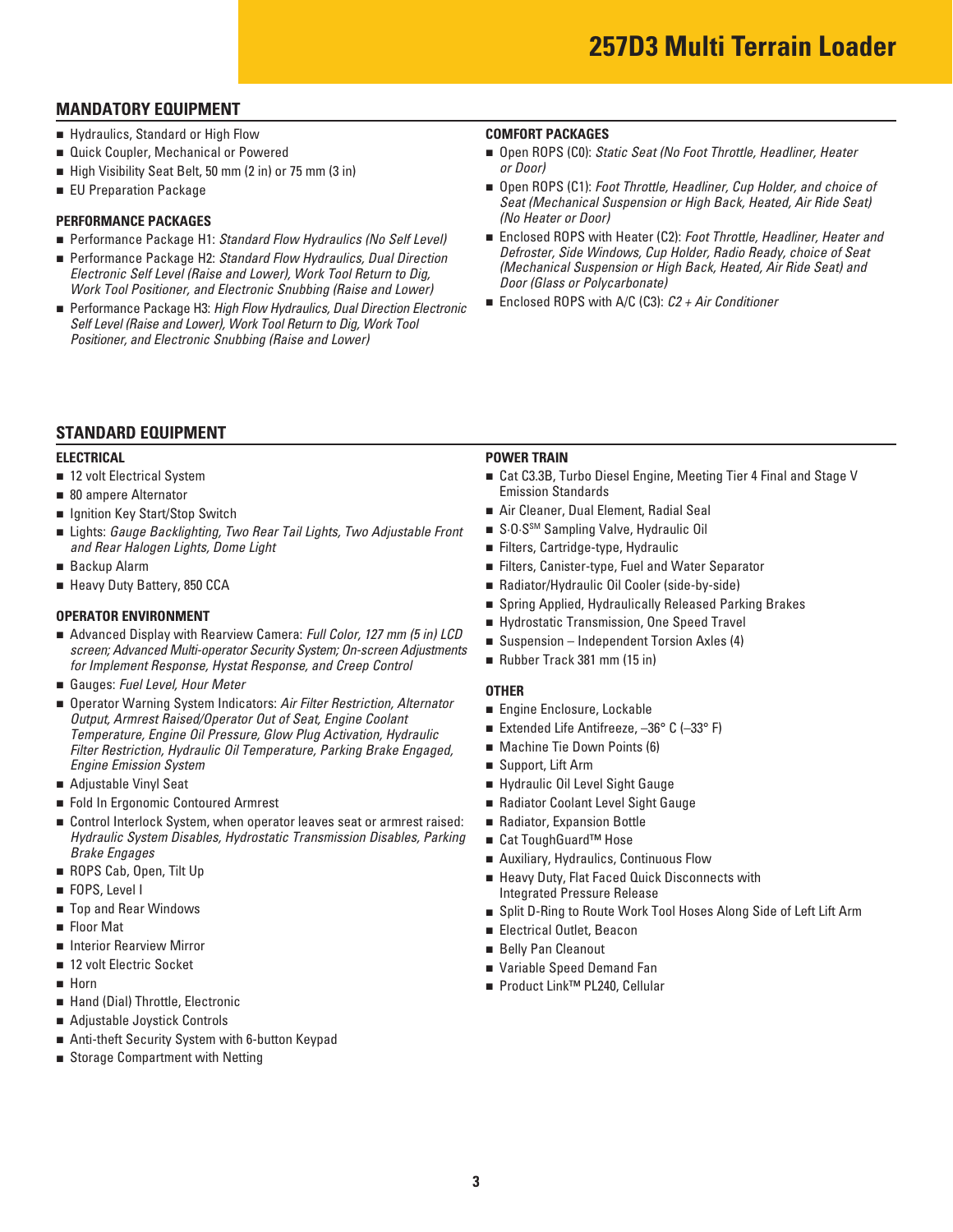# **MANDATORY EQUIPMENT**

- Hydraulics, Standard or High Flow
- **Quick Coupler, Mechanical or Powered**
- High Visibility Seat Belt, 50 mm (2 in) or 75 mm (3 in)
- EU Preparation Package

# **PERFORMANCE PACKAGES**

- Performance Package H1: Standard Flow Hydraulics (No Self Level)
- Performance Package H2: Standard Flow Hydraulics, Dual Direction *Electronic Self Level (Raise and Lower), Work Tool Return to Dig, Work Tool Positioner, and Electronic Snubbing (Raise and Lower)*
- Performance Package H3: *High Flow Hydraulics, Dual Direction Electronic Self Level (Raise and Lower), Work Tool Return to Dig, Work Tool Positioner, and Electronic Snubbing (Raise and Lower)*

### **COMFORT PACKAGES**

- Open ROPS (C0): *Static Seat (No Foot Throttle, Headliner, Heater or Door)*
- Open ROPS (C1): *Foot Throttle, Headliner, Cup Holder, and choice of Seat (Mechanical Suspension or High Back, Heated, Air Ride Seat) (No Heater or Door)*
- Enclosed ROPS with Heater (C2): *Foot Throttle, Headliner, Heater and Defroster, Side Windows, Cup Holder, Radio Ready, choice of Seat (Mechanical Suspension or High Back, Heated, Air Ride Seat) and Door (Glass or Polycarbonate)*
- Enclosed ROPS with A/C (C3): *C2 + Air Conditioner*

# **STANDARD EQUIPMENT**

### **ELECTRICAL**

- 12 volt Electrical System
- 80 ampere Alternator
- Ignition Key Start/Stop Switch
- Lights: *Gauge Backlighting, Two Rear Tail Lights, Two Adjustable Front and Rear Halogen Lights, Dome Light*
- $\blacksquare$  Backup Alarm
- Heavy Duty Battery, 850 CCA

- Advanced Display with Rearview Camera: *Full Color, 127 mm (5 in) LCD screen; Advanced Multi-operator Security System; On-screen Adjustments for Implement Response, Hystat Response, and Creep Control*
- Gauges: *Fuel Level, Hour Meter*
- Operator Warning System Indicators: Air Filter Restriction, Alternator *Output, Armrest Raised/Operator Out of Seat, Engine Coolant Temperature, Engine Oil Pressure, Glow Plug Activation, Hydraulic Filter Restriction, Hydraulic Oil Temperature, Parking Brake Engaged, Engine Emission System*
- Adjustable Vinyl Seat
- Fold In Ergonomic Contoured Armrest
- Control Interlock System, when operator leaves seat or armrest raised: *Hydraulic System Disables, Hydrostatic Transmission Disables, Parking Brake Engages*
- ROPS Cab, Open, Tilt Up
- FOPS, Level I
- Top and Rear Windows
- Floor Mat
- Interior Rearview Mirror
- 12 volt Electric Socket
- $\blacksquare$  Horn
- Hand (Dial) Throttle, Electronic
- Adjustable Joystick Controls
- Anti-theft Security System with 6-button Keypad
- Storage Compartment with Netting

# **POWER TRAIN**

- Cat C3.3B, Turbo Diesel Engine, Meeting Tier 4 Final and Stage V Emission Standards
- Air Cleaner, Dual Element, Radial Seal
- S·O·S<sup>sM</sup> Sampling Valve, Hydraulic Oil
- Filters, Cartridge-type, Hydraulic
- Filters, Canister-type, Fuel and Water Separator
- Radiator/Hydraulic Oil Cooler (side-by-side)
- **n** Spring Applied, Hydraulically Released Parking Brakes<br> **OPERATOR ENVIRONMENT CONSUMENT CONSUMERENT CONSUMER** Hydrostatic Transmission, One Speed Travel
	- Hydrostatic Transmission, One Speed Travel
	- $\blacksquare$  Suspension Independent Torsion Axles (4)
	- Rubber Track 381 mm (15 in)

### **OTHER**

- Engine Enclosure, Lockable
- Extended Life Antifreeze, –36° C (–33° F)
- Machine Tie Down Points (6)
- Support, Lift Arm
- Hydraulic Oil Level Sight Gauge
- Radiator Coolant Level Sight Gauge
- Radiator, Expansion Bottle
- Cat ToughGuard™ Hose
- Auxiliary, Hydraulics, Continuous Flow
- Heavy Duty, Flat Faced Quick Disconnects with Integrated Pressure Release
- $\, \blacksquare \,$  Split D-Ring to Route Work Tool Hoses Along Side of Left Lift Arm
- Electrical Outlet, Beacon
- Belly Pan Cleanout
- Variable Speed Demand Fan
- Product Link™ PL240, Cellular